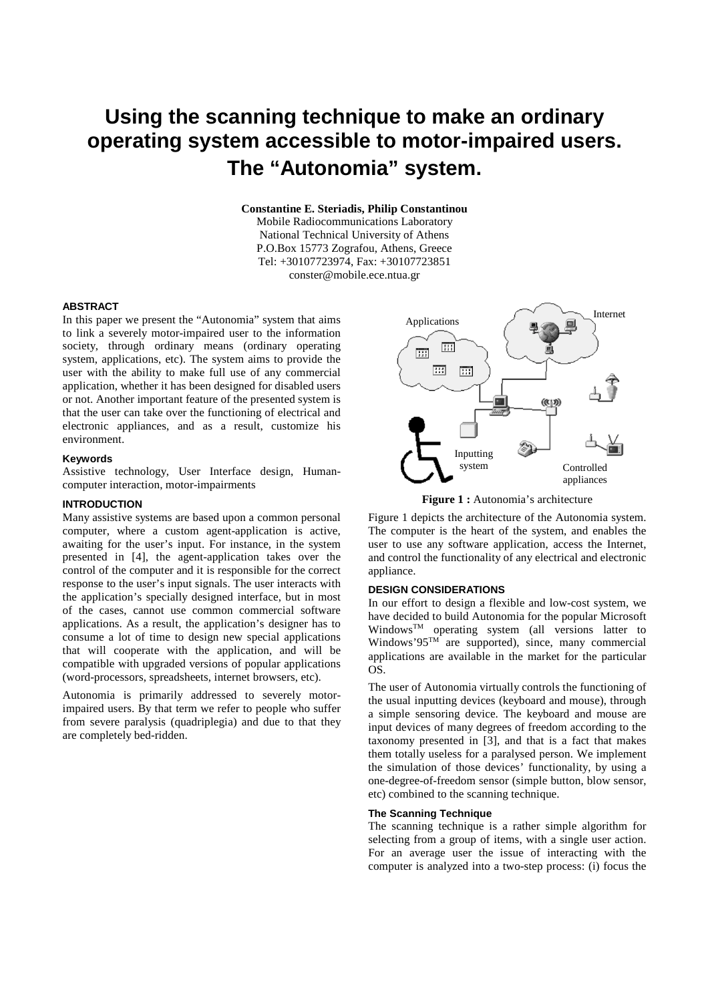# **Using the scanning technique to make an ordinary operating system accessible to motor-impaired users. The "Autonomia" system.**

**Constantine E. Steriadis, Philip Constantinou** 

Mobile Radiocommunications Laboratory National Technical University of Athens P.O.Box 15773 Zografou, Athens, Greece Tel: +30107723974, Fax: +30107723851 conster@mobile.ece.ntua.gr

#### **ABSTRACT**

In this paper we present the "Autonomia" system that aims to link a severely motor-impaired user to the information society, through ordinary means (ordinary operating system, applications, etc). The system aims to provide the user with the ability to make full use of any commercial application, whether it has been designed for disabled users or not. Another important feature of the presented system is that the user can take over the functioning of electrical and electronic appliances, and as a result, customize his environment.

#### **Keywords**

Assistive technology, User Interface design, Humancomputer interaction, motor-impairments

#### **INTRODUCTION**

Many assistive systems are based upon a common personal computer, where a custom agent-application is active, awaiting for the user's input. For instance, in the system presented in [4], the agent-application takes over the control of the computer and it is responsible for the correct response to the user's input signals. The user interacts with the application's specially designed interface, but in most of the cases, cannot use common commercial software applications. As a result, the application's designer has to consume a lot of time to design new special applications that will cooperate with the application, and will be compatible with upgraded versions of popular applications (word-processors, spreadsheets, internet browsers, etc).

Autonomia is primarily addressed to severely motorimpaired users. By that term we refer to people who suffer from severe paralysis (quadriplegia) and due to that they are completely bed-ridden.



**Figure 1 :** Autonomia's architecture

Figure 1 depicts the architecture of the Autonomia system. The computer is the heart of the system, and enables the user to use any software application, access the Internet, and control the functionality of any electrical and electronic appliance.

## **DESIGN CONSIDERATIONS**

In our effort to design a flexible and low-cost system, we have decided to build Autonomia for the popular Microsoft Windows<sup>TM</sup> operating system (all versions latter to Windows' $95^{\text{TM}}$  are supported), since, many commercial applications are available in the market for the particular OS.

The user of Autonomia virtually controls the functioning of the usual inputting devices (keyboard and mouse), through a simple sensoring device. The keyboard and mouse are input devices of many degrees of freedom according to the taxonomy presented in [3], and that is a fact that makes them totally useless for a paralysed person. We implement the simulation of those devices' functionality, by using a one-degree-of-freedom sensor (simple button, blow sensor, etc) combined to the scanning technique.

## **The Scanning Technique**

The scanning technique is a rather simple algorithm for selecting from a group of items, with a single user action. For an average user the issue of interacting with the computer is analyzed into a two-step process: (i) focus the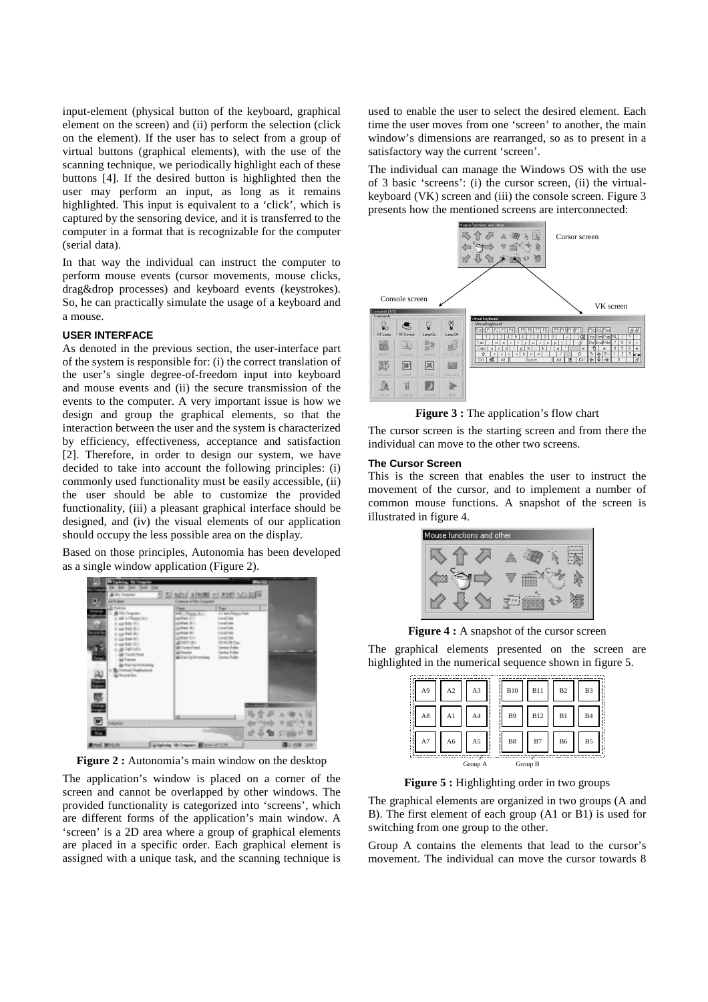input-element (physical button of the keyboard, graphical element on the screen) and (ii) perform the selection (click on the element). If the user has to select from a group of virtual buttons (graphical elements), with the use of the scanning technique, we periodically highlight each of these buttons [4]. If the desired button is highlighted then the user may perform an input, as long as it remains highlighted. This input is equivalent to a 'click', which is captured by the sensoring device, and it is transferred to the computer in a format that is recognizable for the computer (serial data).

In that way the individual can instruct the computer to perform mouse events (cursor movements, mouse clicks, drag&drop processes) and keyboard events (keystrokes). So, he can practically simulate the usage of a keyboard and a mouse.

## **USER INTERFACE**

As denoted in the previous section, the user-interface part of the system is responsible for: (i) the correct translation of the user's single degree-of-freedom input into keyboard and mouse events and (ii) the secure transmission of the events to the computer. A very important issue is how we design and group the graphical elements, so that the interaction between the user and the system is characterized by efficiency, effectiveness, acceptance and satisfaction [2]. Therefore, in order to design our system, we have decided to take into account the following principles: (i) commonly used functionality must be easily accessible, (ii) the user should be able to customize the provided functionality, (iii) a pleasant graphical interface should be designed, and (iv) the visual elements of our application should occupy the less possible area on the display.

Based on those principles, Autonomia has been developed as a single window application (Figure 2).



Figure 2 : Autonomia's main window on the desktop

The application's window is placed on a corner of the screen and cannot be overlapped by other windows. The provided functionality is categorized into 'screens', which are different forms of the application's main window. A 'screen' is a 2D area where a group of graphical elements are placed in a specific order. Each graphical element is assigned with a unique task, and the scanning technique is used to enable the user to select the desired element. Each time the user moves from one 'screen' to another, the main window's dimensions are rearranged, so as to present in a satisfactory way the current 'screen'.

The individual can manage the Windows OS with the use of 3 basic 'screens': (i) the cursor screen, (ii) the virtualkeyboard (VK) screen and (iii) the console screen. Figure 3 presents how the mentioned screens are interconnected:



**Figure 3 :** The application's flow chart

The cursor screen is the starting screen and from there the individual can move to the other two screens.

#### **The Cursor Screen**

This is the screen that enables the user to instruct the movement of the cursor, and to implement a number of common mouse functions. A snapshot of the screen is illustrated in figure 4.



**Figure 4 :** A snapshot of the cursor screen

The graphical elements presented on the screen are highlighted in the numerical sequence shown in figure 5.

| A <sub>9</sub> | A <sub>2</sub> | A3             | <b>B10</b> | <b>B11</b> | B <sub>2</sub> | B <sub>3</sub> |
|----------------|----------------|----------------|------------|------------|----------------|----------------|
| A8             | A1             | A <sub>4</sub> | <b>B9</b>  | <b>B12</b> | B1             | <b>B4</b>      |
| A7             | A6             | A5             | B8         | B7         | B <sub>6</sub> | B <sub>5</sub> |
|                |                | Group A        | Group B    |            |                |                |

**Figure 5 :** Highlighting order in two groups

The graphical elements are organized in two groups (A and B). The first element of each group (A1 or B1) is used for switching from one group to the other.

Group A contains the elements that lead to the cursor's movement. The individual can move the cursor towards 8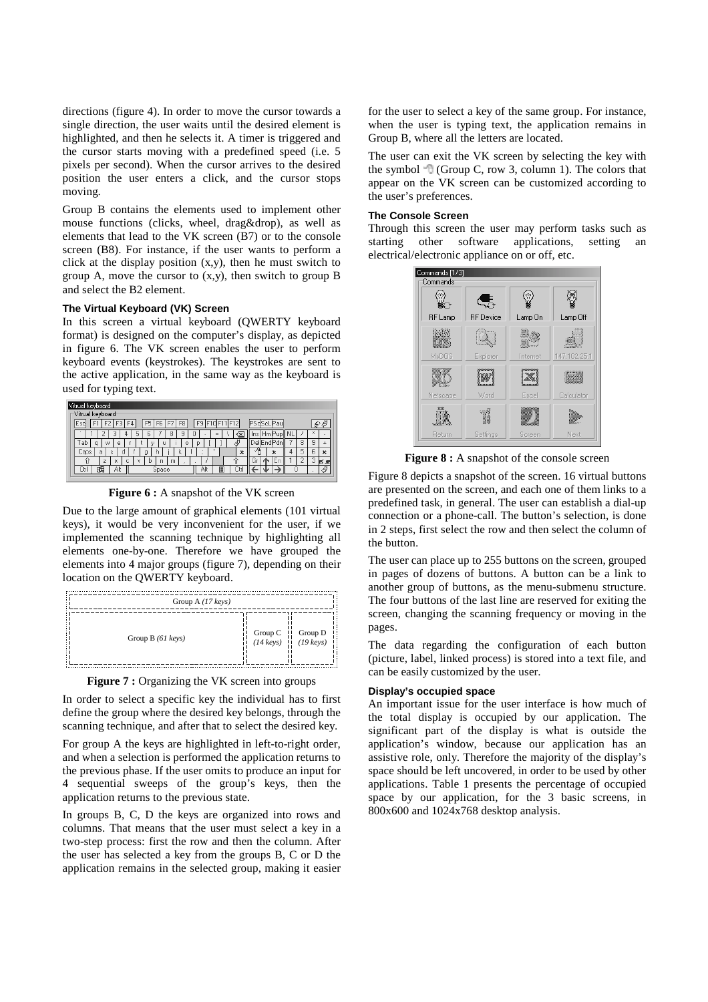directions (figure 4). In order to move the cursor towards a single direction, the user waits until the desired element is highlighted, and then he selects it. A timer is triggered and the cursor starts moving with a predefined speed (i.e. 5 pixels per second). When the cursor arrives to the desired position the user enters a click, and the cursor stops moving.

Group B contains the elements used to implement other mouse functions (clicks, wheel, drag&drop), as well as elements that lead to the VK screen (B7) or to the console screen (B8). For instance, if the user wants to perform a click at the display position (x,y), then he must switch to group A, move the cursor to (x,y), then switch to group B and select the B2 element.

# **The Virtual Keyboard (VK) Screen**

In this screen a virtual keyboard (QWERTY keyboard format) is designed on the computer's display, as depicted in figure 6. The VK screen enables the user to perform keyboard events (keystrokes). The keystrokes are sent to the active application, in the same way as the keyboard is used for typing text.

| Vitrual keyboard                                                      |              |                        |
|-----------------------------------------------------------------------|--------------|------------------------|
| Vitrual keyboard                                                      |              |                        |
| . (F31*<br>F9<br>F10F11F12<br>F <sub>4</sub><br>F5<br>Esc<br>F6<br>F8 | idScL Pau    | €                      |
| 5<br>9<br>Ū<br>8<br>ь<br>∞<br>$=$<br>ے                                | ıns<br>-dP   | $\mathbf{x}$<br>٠      |
| аb<br>e<br>W<br>q<br>O<br>p<br>u<br>υ                                 | Jelik        | 9<br>8                 |
| Caps<br>$\boldsymbol{\mathsf{x}}$<br>a<br>g<br>h<br>Ś<br>α<br>ĸ       | $\mathbf{x}$ | 6<br>5<br>$\mathbf{x}$ |
| 7<br>c<br>ti<br>m<br>×<br>v<br>b<br>n<br>s.                           | <b>Ln</b>    | æ                      |
| Alt<br>Space<br>Alt<br>E<br>Ctr<br>∟tτ                                | Ō            | 河                      |

**Figure 6 :** A snapshot of the VK screen

Due to the large amount of graphical elements (101 virtual keys), it would be very inconvenient for the user, if we implemented the scanning technique by highlighting all elements one-by-one. Therefore we have grouped the elements into 4 major groups (figure 7), depending on their location on the QWERTY keyboard.

| Group A $(17 \text{ keys})$ |                                                                                                  |  |
|-----------------------------|--------------------------------------------------------------------------------------------------|--|
| Group B $(61 \text{ keys})$ | Group C $\begin{array}{c}   \text{Group D} \\ (14 \text{ keys}) & (19 \text{ keys}) \end{array}$ |  |

**Figure 7 :** Organizing the VK screen into groups

In order to select a specific key the individual has to first define the group where the desired key belongs, through the scanning technique, and after that to select the desired key.

For group A the keys are highlighted in left-to-right order, and when a selection is performed the application returns to the previous phase. If the user omits to produce an input for 4 sequential sweeps of the group's keys, then the application returns to the previous state.

In groups B, C, D the keys are organized into rows and columns. That means that the user must select a key in a two-step process: first the row and then the column. After the user has selected a key from the groups B, C or D the application remains in the selected group, making it easier

for the user to select a key of the same group. For instance, when the user is typing text, the application remains in Group B, where all the letters are located.

The user can exit the VK screen by selecting the key with the symbol  $\overline{\mathbb{Q}}$  (Group C, row 3, column 1). The colors that appear on the VK screen can be customized according to the user's preferences.

## **The Console Screen**

Through this screen the user may perform tasks such as starting other software applications, setting an starting other software applications, setting an electrical/electronic appliance on or off, etc.



Figure 8 : A snapshot of the console screen

Figure 8 depicts a snapshot of the screen. 16 virtual buttons are presented on the screen, and each one of them links to a predefined task, in general. The user can establish a dial-up connection or a phone-call. The button's selection, is done in 2 steps, first select the row and then select the column of the button.

The user can place up to 255 buttons on the screen, grouped in pages of dozens of buttons. A button can be a link to another group of buttons, as the menu-submenu structure. The four buttons of the last line are reserved for exiting the screen, changing the scanning frequency or moving in the pages.

The data regarding the configuration of each button (picture, label, linked process) is stored into a text file, and can be easily customized by the user.

#### **Display's occupied space**

An important issue for the user interface is how much of the total display is occupied by our application. The significant part of the display is what is outside the application's window, because our application has an assistive role, only. Therefore the majority of the display's space should be left uncovered, in order to be used by other applications. Table 1 presents the percentage of occupied space by our application, for the 3 basic screens, in 800x600 and 1024x768 desktop analysis.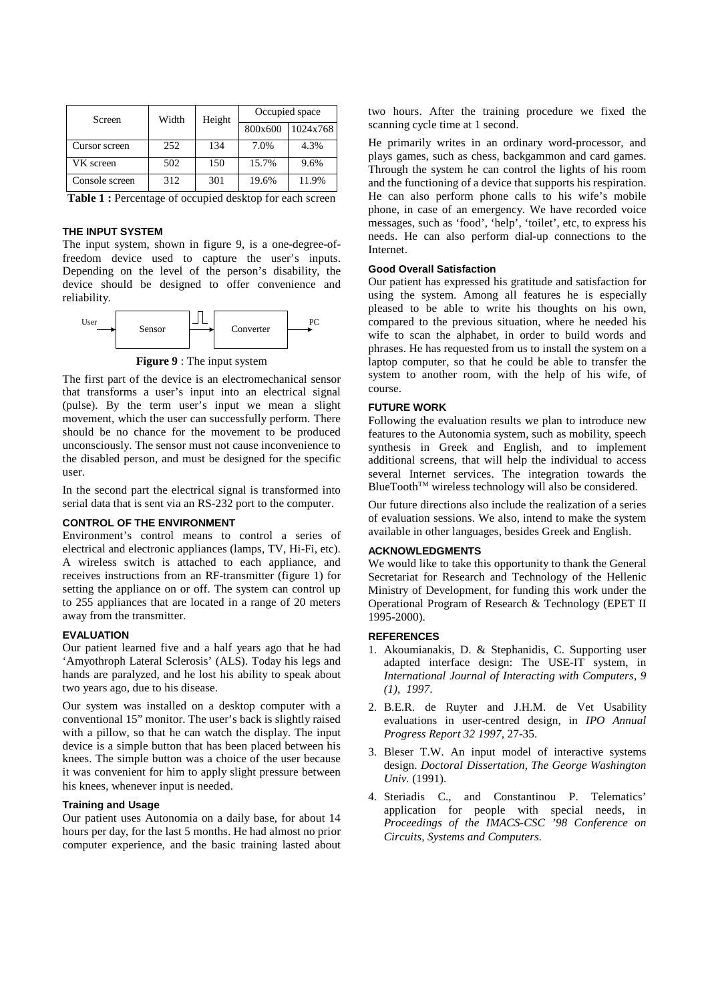| Screen         | Width | Height | Occupied space |          |  |
|----------------|-------|--------|----------------|----------|--|
|                |       |        | 800x600        | 1024x768 |  |
| Cursor screen  | 252   | 134    | 7.0%           | 4.3%     |  |
| VK screen      | 502   | 150    | 15.7%          | 9.6%     |  |
| Console screen | 312   | 301    | 19.6%          | 11.9%    |  |

Table 1 : Percentage of occupied desktop for each screen

## **THE INPUT SYSTEM**

The input system, shown in figure 9, is a one-degree-offreedom device used to capture the user's inputs. Depending on the level of the person's disability, the device should be designed to offer convenience and reliability.



**Figure 9** : The input system

The first part of the device is an electromechanical sensor that transforms a user's input into an electrical signal (pulse). By the term user's input we mean a slight movement, which the user can successfully perform. There should be no chance for the movement to be produced unconsciously. The sensor must not cause inconvenience to the disabled person, and must be designed for the specific user.

In the second part the electrical signal is transformed into serial data that is sent via an RS-232 port to the computer.

## **CONTROL OF THE ENVIRONMENT**

Environment's control means to control a series of electrical and electronic appliances (lamps, TV, Hi-Fi, etc). A wireless switch is attached to each appliance, and receives instructions from an RF-transmitter (figure 1) for setting the appliance on or off. The system can control up to 255 appliances that are located in a range of 20 meters away from the transmitter.

# **EVALUATION**

Our patient learned five and a half years ago that he had 'Amyothroph Lateral Sclerosis' (ALS). Today his legs and hands are paralyzed, and he lost his ability to speak about two years ago, due to his disease.

Our system was installed on a desktop computer with a conventional 15" monitor. The user's back is slightly raised with a pillow, so that he can watch the display. The input device is a simple button that has been placed between his knees. The simple button was a choice of the user because it was convenient for him to apply slight pressure between his knees, whenever input is needed.

## **Training and Usage**

Our patient uses Autonomia on a daily base, for about 14 hours per day, for the last 5 months. He had almost no prior computer experience, and the basic training lasted about two hours. After the training procedure we fixed the scanning cycle time at 1 second.

He primarily writes in an ordinary word-processor, and plays games, such as chess, backgammon and card games. Through the system he can control the lights of his room and the functioning of a device that supports his respiration. He can also perform phone calls to his wife's mobile phone, in case of an emergency. We have recorded voice messages, such as 'food', 'help', 'toilet', etc, to express his needs. He can also perform dial-up connections to the Internet.

## **Good Overall Satisfaction**

Our patient has expressed his gratitude and satisfaction for using the system. Among all features he is especially pleased to be able to write his thoughts on his own, compared to the previous situation, where he needed his wife to scan the alphabet, in order to build words and phrases. He has requested from us to install the system on a laptop computer, so that he could be able to transfer the system to another room, with the help of his wife, of course.

## **FUTURE WORK**

Following the evaluation results we plan to introduce new features to the Autonomia system, such as mobility, speech synthesis in Greek and English, and to implement additional screens, that will help the individual to access several Internet services. The integration towards the  $BlueTooth^{TM}$  wireless technology will also be considered.

Our future directions also include the realization of a series of evaluation sessions. We also, intend to make the system available in other languages, besides Greek and English.

# **ACKNOWLEDGMENTS**

We would like to take this opportunity to thank the General Secretariat for Research and Technology of the Hellenic Ministry of Development, for funding this work under the Operational Program of Research & Technology (EPET II 1995-2000).

## **REFERENCES**

- 1. Akoumianakis, D. & Stephanidis, C. Supporting user adapted interface design: The USE-IT system, in *International Journal of Interacting with Computers, 9 (1), 1997*.
- 2. B.E.R. de Ruyter and J.H.M. de Vet Usability evaluations in user-centred design, in *IPO Annual Progress Report 32 1997*, 27-35.
- 3. Bleser T.W. An input model of interactive systems design. *Doctoral Dissertation, The George Washington Univ.* (1991).
- 4. Steriadis C., and Constantinou P. Telematics' application for people with special needs, in *Proceedings of the IMACS-CSC '98 Conference on Circuits, Systems and Computers.*